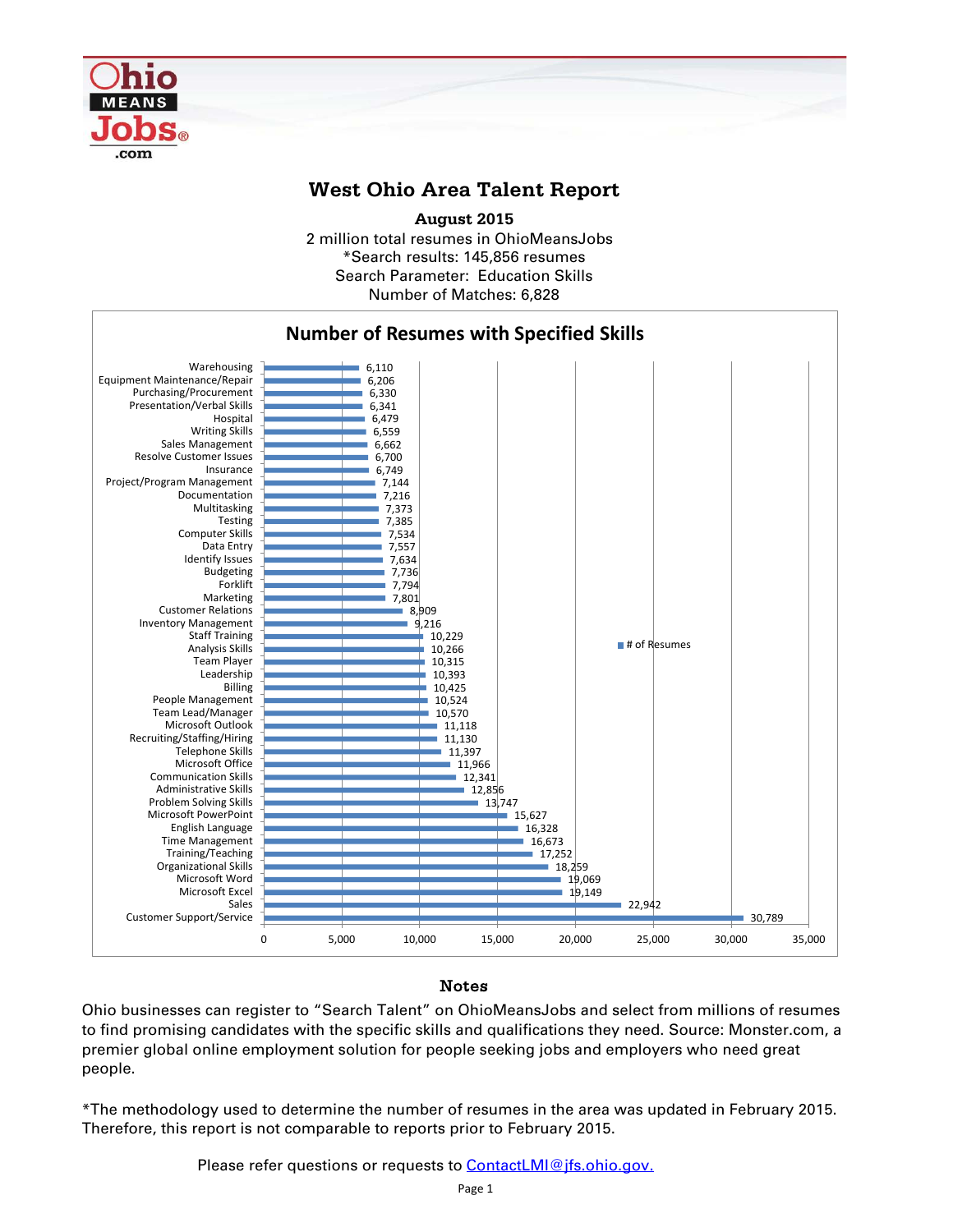

## **West Ohio Area Talent Report**

2 million total resumes in OhioMeansJobs \*Search results: 145,856 resumes Number of Matches: 6,828 **August 2015** Search Parameter: Education Skills



## Notes

Ohio businesses can register to "Search Talent" on OhioMeansJobs and select from millions of resumes to find promising candidates with the specific skills and qualifications they need. Source: Monster.com, a premier global online employment solution for people seeking jobs and employers who need great people.

\*The methodology used to determine the number of resumes in the area was updated in February 2015. Therefore, this report is not comparable to reports prior to February 2015.

Please refer questions or requests to **ContactLMI@jfs.ohio.gov.**